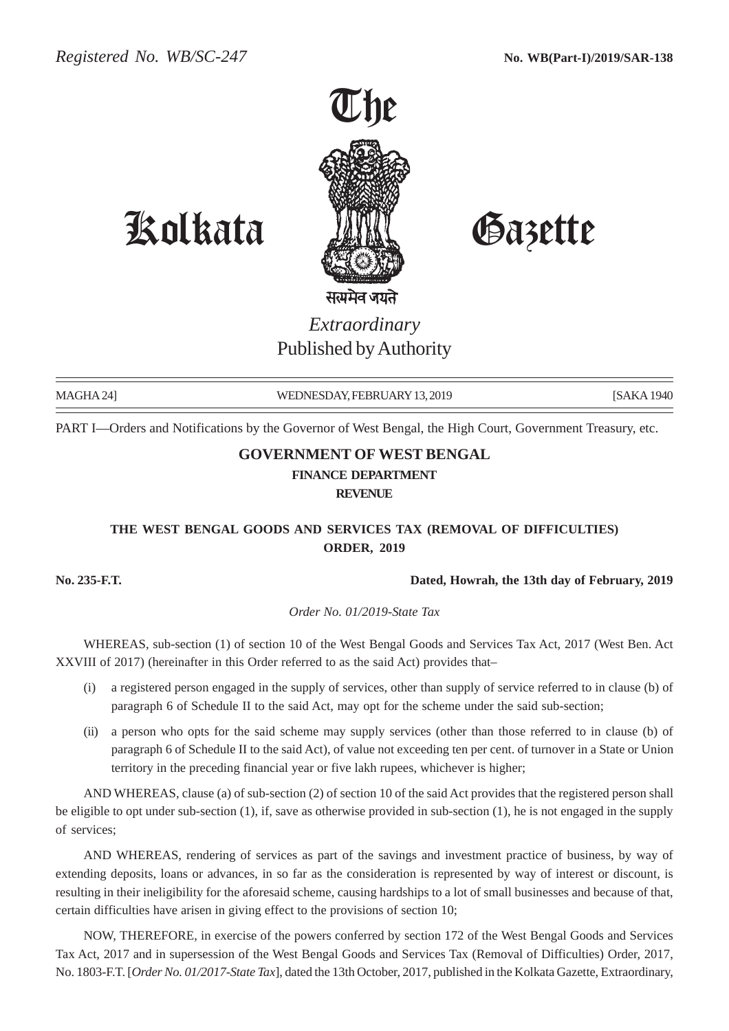

Kolkata Gazette

# *Extraordinary* Published by Authority

MAGHA 24] WEDNESDAY, FEBRUARY 13, 2019 [SAKA 1940] [SAKA 1940]

PART I—Orders and Notifications by the Governor of West Bengal, the High Court, Government Treasury, etc.

## **GOVERNMENT OF WEST BENGAL FINANCE DEPARTMENT REVENUE**

### **THE WEST BENGAL GOODS AND SERVICES TAX (REMOVAL OF DIFFICULTIES) ORDER, 2019**

#### **No. 235-F.T. Dated, Howrah, the 13th day of February, 2019**

*Order No. 01/2019-State Tax*

WHEREAS, sub-section (1) of section 10 of the West Bengal Goods and Services Tax Act, 2017 (West Ben. Act XXVIII of 2017) (hereinafter in this Order referred to as the said Act) provides that–

- (i) a registered person engaged in the supply of services, other than supply of service referred to in clause (b) of paragraph 6 of Schedule II to the said Act, may opt for the scheme under the said sub-section;
- (ii) a person who opts for the said scheme may supply services (other than those referred to in clause (b) of paragraph 6 of Schedule II to the said Act), of value not exceeding ten per cent. of turnover in a State or Union territory in the preceding financial year or five lakh rupees, whichever is higher;

AND WHEREAS, clause (a) of sub-section (2) of section 10 of the said Act provides that the registered person shall be eligible to opt under sub-section (1), if, save as otherwise provided in sub-section (1), he is not engaged in the supply of services;

AND WHEREAS, rendering of services as part of the savings and investment practice of business, by way of extending deposits, loans or advances, in so far as the consideration is represented by way of interest or discount, is resulting in their ineligibility for the aforesaid scheme, causing hardships to a lot of small businesses and because of that, certain difficulties have arisen in giving effect to the provisions of section 10;

NOW, THEREFORE, in exercise of the powers conferred by section 172 of the West Bengal Goods and Services Tax Act, 2017 and in supersession of the West Bengal Goods and Services Tax (Removal of Difficulties) Order, 2017, No. 1803-F.T. [*Order No. 01/2017-State Tax*], dated the 13th October, 2017, published in the Kolkata Gazette, Extraordinary,